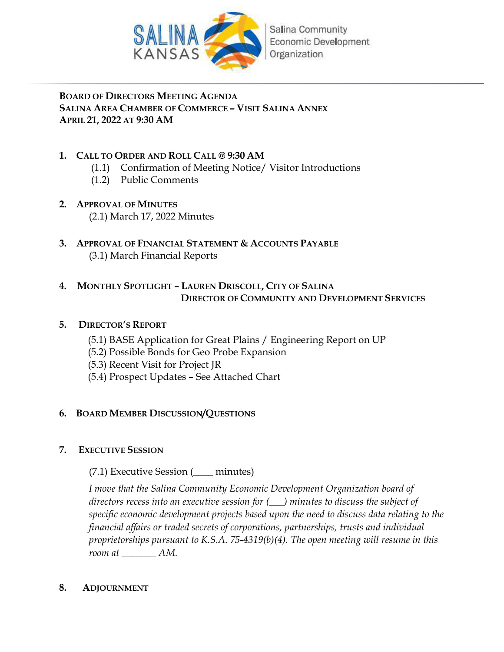

## **BOARD OF DIRECTORS MEETING AGENDA SALINA AREA CHAMBER OF COMMERCE – VISIT SALINA ANNEX APRIL 21, 2022 AT 9:30 AM**

## **1. CALL TO ORDER AND ROLL CALL @ 9:30 AM**

- (1.1) Confirmation of Meeting Notice/ Visitor Introductions
- (1.2) Public Comments
- **2. APPROVAL OF MINUTES** (2.1) March 17, 2022 Minutes
- **3. APPROVAL OF FINANCIAL STATEMENT & ACCOUNTS PAYABLE** (3.1) March Financial Reports

## **4. MONTHLY SPOTLIGHT – LAUREN DRISCOLL, CITY OF SALINA DIRECTOR OF COMMUNITY AND DEVELOPMENT SERVICES**

## **5. DIRECTOR'S REPORT**

- (5.1) BASE Application for Great Plains / Engineering Report on UP
- (5.2) Possible Bonds for Geo Probe Expansion
- (5.3) Recent Visit for Project JR
- (5.4) Prospect Updates See Attached Chart

## **6. BOARD MEMBER DISCUSSION/QUESTIONS**

## **7. EXECUTIVE SESSION**

(7.1) Executive Session (\_\_\_\_ minutes)

*I move that the Salina Community Economic Development Organization board of directors recess into an executive session for (\_\_\_) minutes to discuss the subject of specific economic development projects based upon the need to discuss data relating to the financial affairs or traded secrets of corporations, partnerships, trusts and individual proprietorships pursuant to K.S.A. 75-4319(b)(4). The open meeting will resume in this room at \_\_\_\_\_\_\_ AM.* 

## **8. ADJOURNMENT**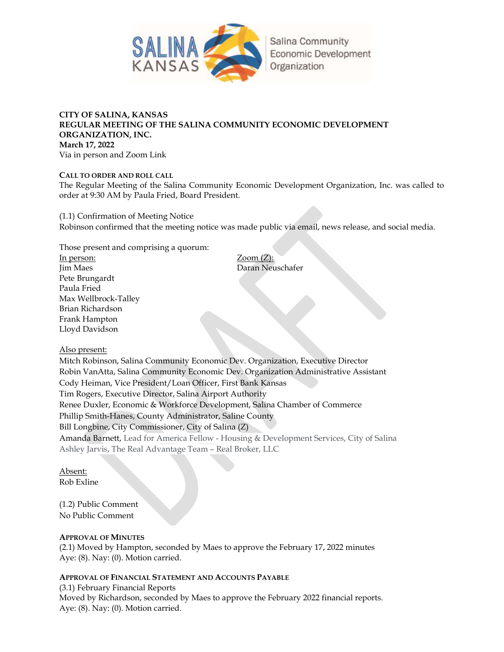

## CITY OF SALINA, KANSAS REGULAR MEETING OF THE SALINA COMMUNITY ECONOMIC DEVELOPMENT ORGANIZATION, INC. March 17, 2022 Via in person and Zoom Link

CALL TO ORDER AND ROLL CALL

The Regular Meeting of the Salina Community Economic Development Organization, Inc. was called to order at 9:30 AM by Paula Fried, Board President.

(1.1) Confirmation of Meeting Notice Robinson confirmed that the meeting notice was made public via email, news release, and social media.

Those present and comprising a quorum:

In person: Zoom (Z): Jim Maes Daran Neuschafer Pete Brungardt Paula Fried Max Wellbrock-Talley Brian Richardson Frank Hampton Lloyd Davidson

Also present:

Mitch Robinson, Salina Community Economic Dev. Organization, Executive Director Robin VanAtta, Salina Community Economic Dev. Organization Administrative Assistant Cody Heiman, Vice President/Loan Officer, First Bank Kansas Tim Rogers, Executive Director, Salina Airport Authority Renee Duxler, Economic & Workforce Development, Salina Chamber of Commerce Phillip Smith-Hanes, County Administrator, Saline County Bill Longbine, City Commissioner, City of Salina (Z) Amanda Barnett, Lead for America Fellow - Housing & Development Services, City of Salina Ashley Jarvis, The Real Advantage Team – Real Broker, LLC

Absent:

Rob Exline

(1.2) Public Comment No Public Comment

## APPROVAL OF MINUTES

(2.1) Moved by Hampton, seconded by Maes to approve the February 17, 2022 minutes Aye: (8). Nay: (0). Motion carried.

## APPROVAL OF FINANCIAL STATEMENT AND ACCOUNTS PAYABLE

(3.1) February Financial Reports Moved by Richardson, seconded by Maes to approve the February 2022 financial reports. Aye: (8). Nay: (0). Motion carried.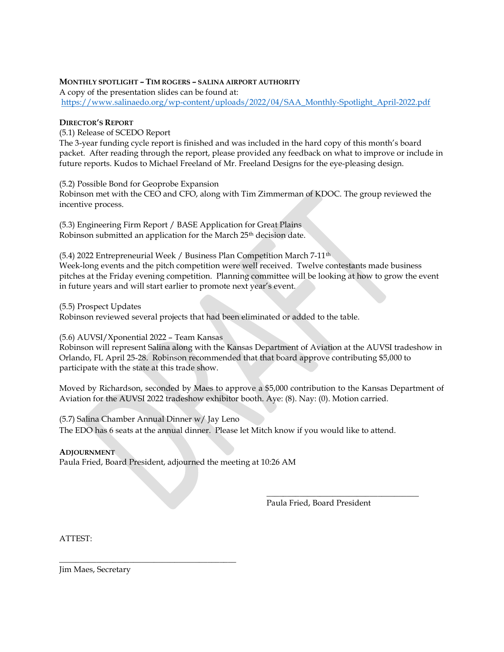## MONTHLY SPOTLIGHT – TIM ROGERS – SALINA AIRPORT AUTHORITY

A copy of the presentation slides can be found at: https://www.salinaedo.org/wp-content/uploads/2022/04/SAA\_Monthly-Spotlight\_April-2022.pdf

#### DIRECTOR'S REPORT

(5.1) Release of SCEDO Report

The 3-year funding cycle report is finished and was included in the hard copy of this month's board packet. After reading through the report, please provided any feedback on what to improve or include in future reports. Kudos to Michael Freeland of Mr. Freeland Designs for the eye-pleasing design.

(5.2) Possible Bond for Geoprobe Expansion

Robinson met with the CEO and CFO, along with Tim Zimmerman of KDOC. The group reviewed the incentive process.

(5.3) Engineering Firm Report / BASE Application for Great Plains Robinson submitted an application for the March 25<sup>th</sup> decision date.

(5.4) 2022 Entrepreneurial Week / Business Plan Competition March 7-11th Week-long events and the pitch competition were well received. Twelve contestants made business pitches at the Friday evening competition. Planning committee will be looking at how to grow the event in future years and will start earlier to promote next year's event.

(5.5) Prospect Updates

Robinson reviewed several projects that had been eliminated or added to the table.

(5.6) AUVSI/Xponential 2022 – Team Kansas

Robinson will represent Salina along with the Kansas Department of Aviation at the AUVSI tradeshow in Orlando, FL April 25-28. Robinson recommended that that board approve contributing \$5,000 to participate with the state at this trade show.

Moved by Richardson, seconded by Maes to approve a \$5,000 contribution to the Kansas Department of Aviation for the AUVSI 2022 tradeshow exhibitor booth. Aye: (8). Nay: (0). Motion carried.

 $\overline{\phantom{a}}$  , and the set of the set of the set of the set of the set of the set of the set of the set of the set of the set of the set of the set of the set of the set of the set of the set of the set of the set of the s

(5.7) Salina Chamber Annual Dinner w/ Jay Leno The EDO has 6 seats at the annual dinner. Please let Mitch know if you would like to attend.

#### **ADJOURNMENT**

Paula Fried, Board President, adjourned the meeting at 10:26 AM

\_\_\_\_\_\_\_\_\_\_\_\_\_\_\_\_\_\_\_\_\_\_\_\_\_\_\_\_\_\_\_\_\_\_\_\_\_\_\_\_\_\_\_

Paula Fried, Board President

ATTEST:

Jim Maes, Secretary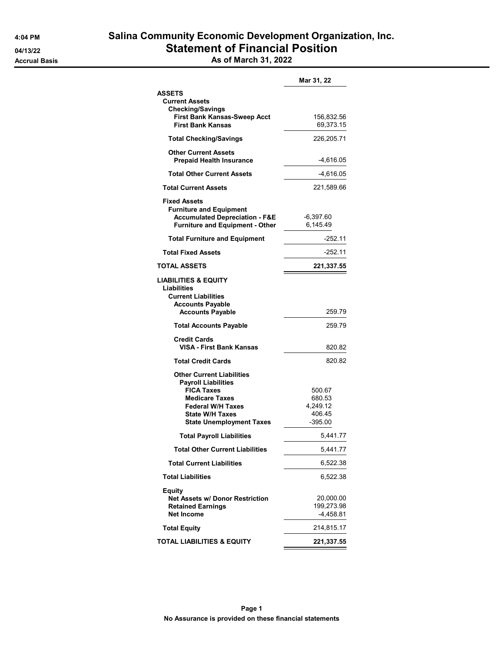|                                                                | Mar 31, 22              |
|----------------------------------------------------------------|-------------------------|
| <b>ASSETS</b>                                                  |                         |
| <b>Current Assets</b>                                          |                         |
| <b>Checking/Savings</b>                                        |                         |
| First Bank Kansas-Sweep Acct                                   | 156,832.56              |
| <b>First Bank Kansas</b>                                       | 69,373.15               |
| <b>Total Checking/Savings</b>                                  | 226,205.71              |
| <b>Other Current Assets</b><br><b>Prepaid Health Insurance</b> | -4,616.05               |
| <b>Total Other Current Assets</b>                              | -4,616.05               |
| <b>Total Current Assets</b>                                    | 221,589.66              |
| <b>Fixed Assets</b>                                            |                         |
| <b>Furniture and Equipment</b>                                 |                         |
| <b>Accumulated Depreciation - F&amp;E</b>                      | -6,397.60               |
| <b>Furniture and Equipment - Other</b>                         | 6,145.49                |
| <b>Total Furniture and Equipment</b>                           | -252.11                 |
| <b>Total Fixed Assets</b>                                      | -252.11                 |
| TOTAL ASSETS                                                   | 221,337.55              |
| LIABILITIES & EQUITY                                           |                         |
| <b>Liabilities</b>                                             |                         |
| <b>Current Liabilities</b>                                     |                         |
| <b>Accounts Payable</b>                                        |                         |
| <b>Accounts Payable</b>                                        | 259.79                  |
| <b>Total Accounts Payable</b>                                  | 259.79                  |
| <b>Credit Cards</b>                                            |                         |
| VISA - First Bank Kansas                                       | 820.82                  |
| <b>Total Credit Cards</b>                                      | 820.82                  |
| <b>Other Current Liabilities</b>                               |                         |
| <b>Payroll Liabilities</b>                                     |                         |
| <b>FICA Taxes</b>                                              | 500.67                  |
| <b>Medicare Taxes</b>                                          | 680.53                  |
| <b>Federal W/H Taxes</b>                                       | 4,249.12                |
| <b>State W/H Taxes</b>                                         | 406.45                  |
| <b>State Unemployment Taxes</b>                                | $-395.00$               |
| <b>Total Payroll Liabilities</b>                               | 5,441.77                |
| <b>Total Other Current Liabilities</b>                         | 5,441.77                |
| <b>Total Current Liabilities</b>                               | 6,522.38                |
| <b>Total Liabilities</b>                                       | 6,522.38                |
|                                                                |                         |
| Equity<br><b>Net Assets w/ Donor Restriction</b>               |                         |
| <b>Retained Earnings</b>                                       | 20,000.00<br>199,273.98 |
| <b>Net Income</b>                                              | $-4,458.81$             |
|                                                                |                         |
| <b>Total Equity</b>                                            | 214,815.17              |
| TOTAL LIABILITIES & EQUITY                                     | 221,337.55              |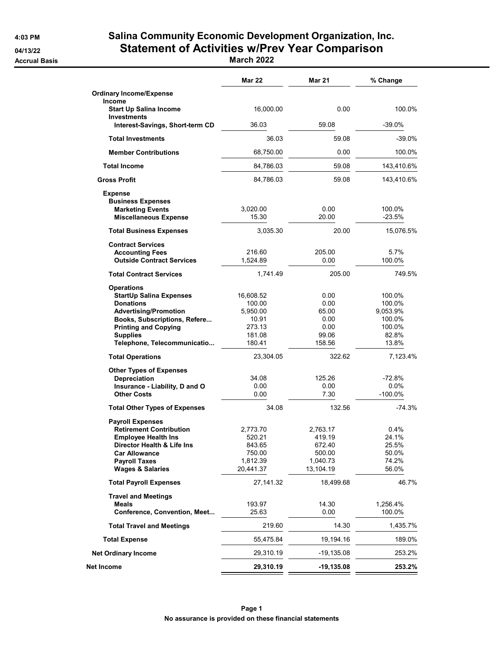# 4:03 PM Salina Community Economic Development Organization, Inc. 04/13/22 Statement of Activities w/Prev Year Comparison

Accrual Basis March 2022

|                                                               | <b>Mar 22</b>       | Mar 21       | % Change         |
|---------------------------------------------------------------|---------------------|--------------|------------------|
| <b>Ordinary Income/Expense</b>                                |                     |              |                  |
| Income<br><b>Start Up Salina Income</b><br><b>Investments</b> | 16,000.00           | 0.00         | 100.0%           |
| Interest-Savings, Short-term CD                               | 36.03               | 59.08        | $-39.0%$         |
| <b>Total Investments</b>                                      | 36.03               | 59.08        | $-39.0%$         |
| <b>Member Contributions</b>                                   | 68,750.00           | 0.00         | 100.0%           |
| <b>Total Income</b>                                           | 84,786.03           | 59.08        | 143,410.6%       |
| <b>Gross Profit</b>                                           | 84,786.03           | 59.08        | 143,410.6%       |
| <b>Expense</b>                                                |                     |              |                  |
| <b>Business Expenses</b>                                      |                     |              |                  |
| <b>Marketing Events</b>                                       | 3,020.00            | 0.00         | 100.0%           |
| <b>Miscellaneous Expense</b>                                  | 15.30               | 20.00        | $-23.5%$         |
| <b>Total Business Expenses</b>                                | 3,035.30            | 20.00        | 15,076.5%        |
| <b>Contract Services</b>                                      |                     |              |                  |
| <b>Accounting Fees</b>                                        | 216.60              | 205.00       | 5.7%             |
| <b>Outside Contract Services</b>                              | 1,524.89            | 0.00         | 100.0%           |
| <b>Total Contract Services</b>                                | 1,741.49            | 205.00       | 749.5%           |
|                                                               |                     |              |                  |
| <b>Operations</b>                                             |                     |              |                  |
| <b>StartUp Salina Expenses</b><br><b>Donations</b>            | 16,608.52<br>100.00 | 0.00<br>0.00 | 100.0%<br>100.0% |
| <b>Advertising/Promotion</b>                                  | 5,950.00            | 65.00        | 9.053.9%         |
| Books, Subscriptions, Refere                                  | 10.91               | 0.00         | 100.0%           |
| <b>Printing and Copying</b>                                   | 273.13              | 0.00         | 100.0%           |
| <b>Supplies</b>                                               | 181.08              | 99.06        | 82.8%            |
| Telephone, Telecommunicatio                                   | 180.41              | 158.56       | 13.8%            |
| <b>Total Operations</b>                                       | 23,304.05           | 322.62       | 7,123.4%         |
|                                                               |                     |              |                  |
| <b>Other Types of Expenses</b><br>Depreciation                | 34.08               | 125.26       | -72.8%           |
| Insurance - Liability, D and O                                | 0.00                | 0.00         | $0.0\%$          |
| <b>Other Costs</b>                                            | 0.00                | 7.30         | $-100.0%$        |
| <b>Total Other Types of Expenses</b>                          | 34.08               | 132.56       | $-74.3%$         |
|                                                               |                     |              |                  |
| <b>Payroll Expenses</b><br><b>Retirement Contribution</b>     | 2,773.70            | 2,763.17     | 0.4%             |
| <b>Employee Health Ins</b>                                    | 520.21              | 419.19       | 24.1%            |
| Director Health & Life Ins                                    | 843.65              | 672.40       | 25.5%            |
| <b>Car Allowance</b>                                          | 750.00              | 500.00       | 50.0%            |
| <b>Payroll Taxes</b>                                          | 1,812.39            | 1,040.73     | 74.2%            |
| <b>Wages &amp; Salaries</b>                                   | 20,441.37           | 13,104.19    | 56.0%            |
| <b>Total Payroll Expenses</b>                                 | 27,141.32           | 18,499.68    | 46.7%            |
|                                                               |                     |              |                  |
| <b>Travel and Meetings</b><br>Meals                           | 193.97              | 14.30        | 1,256.4%         |
| Conference, Convention, Meet                                  | 25.63               | 0.00         | 100.0%           |
|                                                               |                     |              |                  |
| <b>Total Travel and Meetings</b>                              | 219.60              | 14.30        | 1,435.7%         |
| <b>Total Expense</b>                                          | 55,475.84           | 19,194.16    | 189.0%           |
| <b>Net Ordinary Income</b>                                    | 29,310.19           | -19,135.08   | 253.2%           |
| Net Income                                                    | 29,310.19           | $-19,135.08$ | 253.2%           |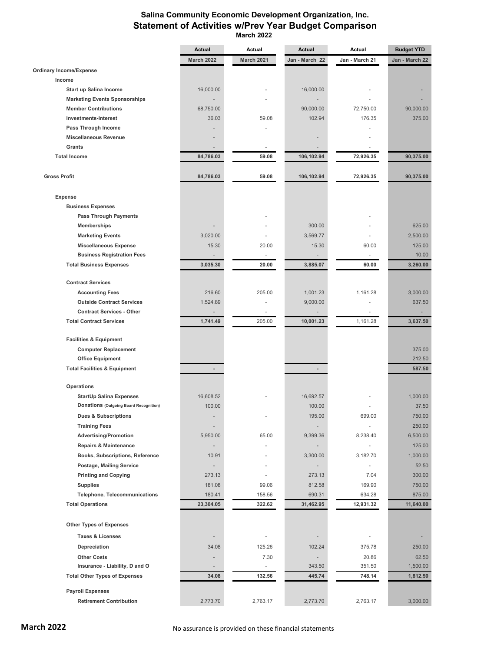## **Salina Community Economic Development Organization, Inc. Statement of Activities w/Prev Year Budget Comparison March 2022**

|                                                                      | <b>Actual</b>     | Actual        | <b>Actual</b>            | Actual         | <b>Budget YTD</b> |
|----------------------------------------------------------------------|-------------------|---------------|--------------------------|----------------|-------------------|
|                                                                      | <b>March 2022</b> | March 2021    | Jan - March 22           | Jan - March 21 | Jan - March 22    |
| <b>Ordinary Income/Expense</b>                                       |                   |               |                          |                |                   |
| Income                                                               |                   |               |                          |                |                   |
| <b>Start up Salina Income</b>                                        | 16,000.00         |               | 16,000.00                |                |                   |
| <b>Marketing Events Sponsorships</b>                                 |                   |               |                          |                |                   |
| <b>Member Contributions</b>                                          | 68,750.00         |               | 90,000.00                | 72,750.00      | 90,000.00         |
| Investments-Interest                                                 | 36.03             | 59.08         | 102.94                   | 176.35         | 375.00            |
| Pass Through Income                                                  |                   |               |                          |                |                   |
| <b>Miscellaneous Revenue</b>                                         |                   |               |                          |                |                   |
| Grants                                                               |                   |               |                          |                |                   |
| <b>Total Income</b>                                                  | 84,786.03         | 59.08         | 106,102.94               | 72,926.35      | 90,375.00         |
| <b>Gross Profit</b>                                                  | 84,786.03         | 59.08         | 106,102.94               | 72,926.35      | 90,375.00         |
| <b>Expense</b>                                                       |                   |               |                          |                |                   |
| <b>Business Expenses</b>                                             |                   |               |                          |                |                   |
| <b>Pass Through Payments</b>                                         |                   |               |                          |                |                   |
| <b>Memberships</b>                                                   |                   |               | 300.00                   |                | 625.00            |
| <b>Marketing Events</b>                                              | 3,020.00          |               | 3,569.77                 |                | 2,500.00          |
| <b>Miscellaneous Expense</b>                                         | 15.30             | 20.00         | 15.30                    | 60.00          | 125.00            |
| <b>Business Registration Fees</b>                                    |                   | ä,            |                          | ÷.             | 10.00             |
| <b>Total Business Expenses</b>                                       | 3,035.30          | 20.00         | 3,885.07                 | 60.00          | 3,260.00          |
| <b>Contract Services</b>                                             |                   |               |                          |                |                   |
| <b>Accounting Fees</b>                                               | 216.60            | 205.00        | 1,001.23                 | 1,161.28       | 3,000.00          |
| <b>Outside Contract Services</b><br><b>Contract Services - Other</b> | 1,524.89          |               | 9,000.00                 |                | 637.50            |
| <b>Total Contract Services</b>                                       | 1,741.49          | 205.00        | 10,001.23                | 1,161.28       | 3,637.50          |
| <b>Facilities &amp; Equipment</b>                                    |                   |               |                          |                |                   |
| <b>Computer Replacement</b>                                          |                   |               |                          |                | 375.00            |
| <b>Office Equipment</b>                                              |                   |               |                          |                | 212.50            |
| <b>Total Facilities &amp; Equipment</b>                              |                   |               | $\overline{\phantom{a}}$ |                | 587.50            |
| Operations                                                           |                   |               |                          |                |                   |
| <b>StartUp Salina Expenses</b>                                       | 16,608.52         |               | 16,692.57                |                | 1,000.00          |
| <b>Donations (Outgoing Board Recognition)</b>                        | 100.00            |               | 100.00                   |                | 37.50             |
| <b>Dues &amp; Subscriptions</b>                                      |                   |               | 195.00                   | 699.00         | 750.00            |
| <b>Training Fees</b>                                                 |                   |               |                          |                | 250.00            |
| <b>Advertising/Promotion</b>                                         | 5,950.00          | 65.00         | 9,399.36                 | 8,238.40       | 6,500.00          |
| <b>Repairs &amp; Maintenance</b>                                     |                   |               |                          | ÷,             | 125.00            |
| Books, Subscriptions, Reference                                      | 10.91             |               | 3,300.00                 | 3,182.70       | 1,000.00          |
| Postage, Mailing Service                                             |                   |               |                          | ÷,             | 52.50             |
| <b>Printing and Copying</b>                                          | 273.13            |               | 273.13                   | 7.04           | 300.00            |
| <b>Supplies</b>                                                      | 181.08            | 99.06         | 812.58                   | 169.90         | 750.00            |
| Telephone, Telecommunications                                        | 180.41            | 158.56        | 690.31                   | 634.28         | 875.00            |
| <b>Total Operations</b>                                              | 23,304.05         | 322.62        | 31,462.95                | 12,931.32      | 11,640.00         |
| <b>Other Types of Expenses</b>                                       |                   |               |                          |                |                   |
|                                                                      |                   |               |                          |                |                   |
| <b>Taxes &amp; Licenses</b>                                          |                   |               |                          |                |                   |
| Depreciation                                                         | 34.08             | 125.26        | 102.24                   | 375.78         | 250.00            |
| <b>Other Costs</b>                                                   |                   | 7.30          | $\overline{\phantom{a}}$ | 20.86          | 62.50             |
| Insurance - Liability, D and O                                       |                   | $\frac{1}{2}$ | 343.50                   | 351.50         | 1,500.00          |
| <b>Total Other Types of Expenses</b>                                 | 34.08             | 132.56        | 445.74                   | 748.14         | 1,812.50          |
| <b>Payroll Expenses</b>                                              |                   |               |                          |                |                   |
| <b>Retirement Contribution</b>                                       | 2,773.70          | 2,763.17      | 2,773.70                 | 2,763.17       | 3,000.00          |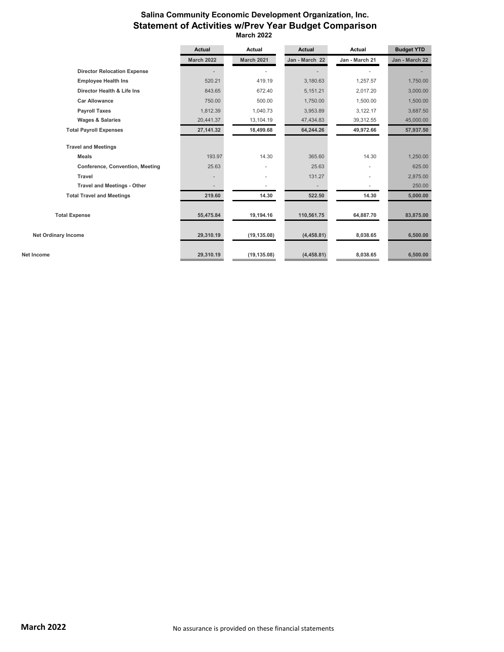## **Salina Community Economic Development Organization, Inc. Statement of Activities w/Prev Year Budget Comparison March 2022**

|                                        | <b>Actual</b>     | Actual         | <b>Actual</b>            | Actual         | <b>Budget YTD</b> |
|----------------------------------------|-------------------|----------------|--------------------------|----------------|-------------------|
|                                        | <b>March 2022</b> | March 2021     | Jan - March 22           | Jan - March 21 | Jan - March 22    |
| <b>Director Relocation Expense</b>     |                   |                |                          |                |                   |
| <b>Employee Health Ins</b>             | 520.21            | 419.19         | 3,180.63                 | 1,257.57       | 1,750.00          |
| Director Health & Life Ins             | 843.65            | 672.40         | 5,151.21                 | 2.017.20       | 3,000.00          |
| <b>Car Allowance</b>                   | 750.00            | 500.00         | 1,750.00                 | 1,500.00       | 1,500.00          |
| <b>Payroll Taxes</b>                   | 1,812.39          | 1,040.73       | 3,953.89                 | 3,122.17       | 3,687.50          |
| <b>Wages &amp; Salaries</b>            | 20,441.37         | 13,104.19      | 47,434.83                | 39,312.55      | 45,000.00         |
| <b>Total Payroll Expenses</b>          | 27,141.32         | 18,499.68      | 64,244.26                | 49,972.66      | 57,937.50         |
| <b>Travel and Meetings</b>             |                   |                |                          |                |                   |
| <b>Meals</b>                           | 193.97            | 14.30          | 365.60                   | 14.30          | 1,250.00          |
| <b>Conference, Convention, Meeting</b> | 25.63             | $\blacksquare$ | 25.63                    |                | 625.00            |
| <b>Travel</b>                          |                   | ٠              | 131.27                   |                | 2,875.00          |
| <b>Travel and Meetings - Other</b>     |                   |                | $\overline{\phantom{a}}$ |                | 250.00            |
| <b>Total Travel and Meetings</b>       | 219.60            | 14.30          | 522.50                   | 14.30          | 5,000.00          |
| <b>Total Expense</b>                   | 55,475.84         | 19,194.16      | 110,561.75               | 64,887.70      | 83,875.00         |
| <b>Net Ordinary Income</b>             | 29,310.19         | (19, 135.08)   | (4,458.81)               | 8,038.65       | 6,500.00          |
| Net Income                             | 29,310.19         | (19, 135.08)   | (4,458.81)               | 8,038.65       | 6,500.00          |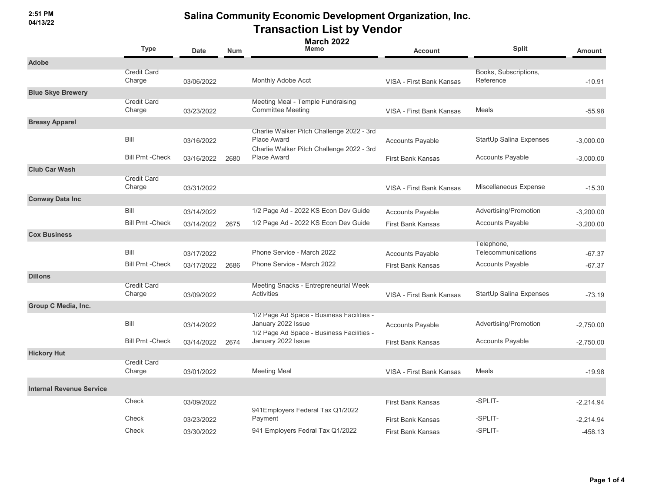**2:51 PM 04/13/22**

|                                 | <b>Type</b>                  | <b>Date</b> | <b>Num</b> | <b>March 2022</b><br><b>Memo</b>                                                                             | <b>Account</b>           | <b>Split</b>                       | <b>Amount</b> |
|---------------------------------|------------------------------|-------------|------------|--------------------------------------------------------------------------------------------------------------|--------------------------|------------------------------------|---------------|
| <b>Adobe</b>                    |                              |             |            |                                                                                                              |                          |                                    |               |
|                                 | <b>Credit Card</b><br>Charge | 03/06/2022  |            | Monthly Adobe Acct                                                                                           | VISA - First Bank Kansas | Books, Subscriptions,<br>Reference | $-10.91$      |
| <b>Blue Skye Brewery</b>        |                              |             |            |                                                                                                              |                          |                                    |               |
|                                 | <b>Credit Card</b><br>Charge | 03/23/2022  |            | Meeting Meal - Temple Fundraising<br><b>Committee Meeting</b>                                                | VISA - First Bank Kansas | Meals                              | $-55.98$      |
| <b>Breasy Apparel</b>           |                              |             |            |                                                                                                              |                          |                                    |               |
|                                 | Bill                         | 03/16/2022  |            | Charlie Walker Pitch Challenge 2022 - 3rd<br><b>Place Award</b><br>Charlie Walker Pitch Challenge 2022 - 3rd | <b>Accounts Payable</b>  | StartUp Salina Expenses            | $-3,000.00$   |
|                                 | <b>Bill Pmt -Check</b>       | 03/16/2022  | 2680       | <b>Place Award</b>                                                                                           | <b>First Bank Kansas</b> | <b>Accounts Payable</b>            | $-3,000.00$   |
| <b>Club Car Wash</b>            |                              |             |            |                                                                                                              |                          |                                    |               |
|                                 | <b>Credit Card</b><br>Charge | 03/31/2022  |            |                                                                                                              | VISA - First Bank Kansas | Miscellaneous Expense              | $-15.30$      |
| <b>Conway Data Inc</b>          |                              |             |            |                                                                                                              |                          |                                    |               |
|                                 | Bill                         | 03/14/2022  |            | 1/2 Page Ad - 2022 KS Econ Dev Guide                                                                         | <b>Accounts Payable</b>  | Advertising/Promotion              | $-3,200.00$   |
|                                 | <b>Bill Pmt -Check</b>       | 03/14/2022  | 2675       | 1/2 Page Ad - 2022 KS Econ Dev Guide                                                                         | <b>First Bank Kansas</b> | <b>Accounts Payable</b>            | $-3,200.00$   |
| <b>Cox Business</b>             |                              |             |            |                                                                                                              |                          |                                    |               |
|                                 | Bill                         | 03/17/2022  |            | Phone Service - March 2022                                                                                   | <b>Accounts Payable</b>  | Telephone,<br>Telecommunications   | $-67.37$      |
|                                 | <b>Bill Pmt -Check</b>       | 03/17/2022  | 2686       | Phone Service - March 2022                                                                                   | <b>First Bank Kansas</b> | <b>Accounts Payable</b>            | $-67.37$      |
| <b>Dillons</b>                  |                              |             |            |                                                                                                              |                          |                                    |               |
|                                 | <b>Credit Card</b><br>Charge | 03/09/2022  |            | Meeting Snacks - Entrepreneurial Week<br>Activities                                                          | VISA - First Bank Kansas | StartUp Salina Expenses            | $-73.19$      |
| Group C Media, Inc.             |                              |             |            |                                                                                                              |                          |                                    |               |
|                                 | Bill                         | 03/14/2022  |            | 1/2 Page Ad Space - Business Facilities -<br>January 2022 Issue<br>1/2 Page Ad Space - Business Facilities - | <b>Accounts Payable</b>  | Advertising/Promotion              | $-2,750.00$   |
|                                 | <b>Bill Pmt - Check</b>      | 03/14/2022  | 2674       | January 2022 Issue                                                                                           | <b>First Bank Kansas</b> | <b>Accounts Payable</b>            | $-2,750.00$   |
| <b>Hickory Hut</b>              |                              |             |            |                                                                                                              |                          |                                    |               |
|                                 | <b>Credit Card</b><br>Charge | 03/01/2022  |            | <b>Meeting Meal</b>                                                                                          | VISA - First Bank Kansas | Meals                              | $-19.98$      |
| <b>Internal Revenue Service</b> |                              |             |            |                                                                                                              |                          |                                    |               |
|                                 | Check                        | 03/09/2022  |            | 941 Employers Federal Tax Q1/2022                                                                            | <b>First Bank Kansas</b> | -SPLIT-                            | $-2,214.94$   |
|                                 | Check                        | 03/23/2022  |            | Payment                                                                                                      | <b>First Bank Kansas</b> | -SPLIT-                            | $-2,214.94$   |
|                                 | Check                        | 03/30/2022  |            | 941 Employers Fedral Tax Q1/2022                                                                             | First Bank Kansas        | -SPLIT-                            | $-458.13$     |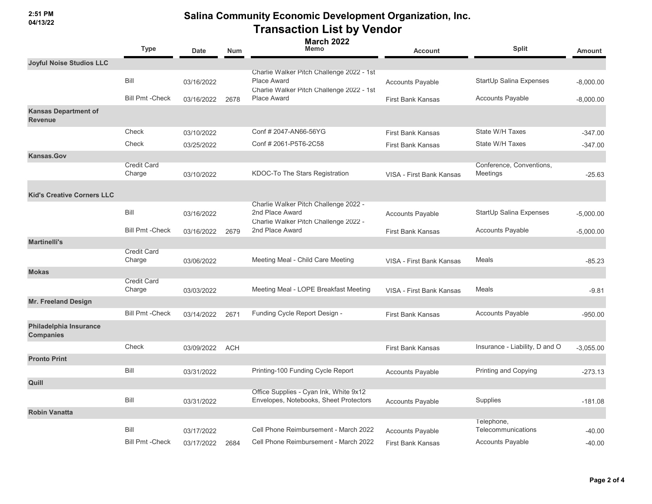**2:51 PM 04/13/22**

|                                               | <b>Type</b>                  | <b>Date</b> | <b>Num</b> | <b>March 2022</b><br>Memo                                                                                    | <b>Account</b>           | <b>Split</b>                         | Amount      |
|-----------------------------------------------|------------------------------|-------------|------------|--------------------------------------------------------------------------------------------------------------|--------------------------|--------------------------------------|-------------|
| <b>Joyful Noise Studios LLC</b>               |                              |             |            |                                                                                                              |                          |                                      |             |
|                                               | Bill                         | 03/16/2022  |            | Charlie Walker Pitch Challenge 2022 - 1st<br><b>Place Award</b><br>Charlie Walker Pitch Challenge 2022 - 1st | <b>Accounts Payable</b>  | StartUp Salina Expenses              | $-8,000.00$ |
|                                               | <b>Bill Pmt - Check</b>      | 03/16/2022  | 2678       | <b>Place Award</b>                                                                                           | <b>First Bank Kansas</b> | Accounts Payable                     | $-8,000.00$ |
| <b>Kansas Department of</b><br><b>Revenue</b> |                              |             |            |                                                                                                              |                          |                                      |             |
|                                               | Check                        | 03/10/2022  |            | Conf # 2047-AN66-56YG                                                                                        | <b>First Bank Kansas</b> | State W/H Taxes                      | $-347.00$   |
|                                               | Check                        | 03/25/2022  |            | Conf # 2061-P5T6-2C58                                                                                        | <b>First Bank Kansas</b> | State W/H Taxes                      | $-347.00$   |
| Kansas.Gov                                    |                              |             |            |                                                                                                              |                          |                                      |             |
|                                               | <b>Credit Card</b><br>Charge | 03/10/2022  |            | KDOC-To The Stars Registration                                                                               | VISA - First Bank Kansas | Conference, Conventions,<br>Meetings | $-25.63$    |
| <b>Kid's Creative Corners LLC</b>             |                              |             |            |                                                                                                              |                          |                                      |             |
|                                               | Bill                         | 03/16/2022  |            | Charlie Walker Pitch Challenge 2022 -<br>2nd Place Award<br>Charlie Walker Pitch Challenge 2022 -            | <b>Accounts Payable</b>  | StartUp Salina Expenses              | $-5,000.00$ |
|                                               | <b>Bill Pmt - Check</b>      | 03/16/2022  | 2679       | 2nd Place Award                                                                                              | <b>First Bank Kansas</b> | <b>Accounts Payable</b>              | $-5,000.00$ |
| <b>Martinelli's</b>                           |                              |             |            |                                                                                                              |                          |                                      |             |
|                                               | <b>Credit Card</b><br>Charge | 03/06/2022  |            | Meeting Meal - Child Care Meeting                                                                            | VISA - First Bank Kansas | Meals                                | $-85.23$    |
| <b>Mokas</b>                                  |                              |             |            |                                                                                                              |                          |                                      |             |
|                                               | <b>Credit Card</b><br>Charge | 03/03/2022  |            | Meeting Meal - LOPE Breakfast Meeting                                                                        | VISA - First Bank Kansas | Meals                                | $-9.81$     |
| <b>Mr. Freeland Design</b>                    |                              |             |            |                                                                                                              |                          |                                      |             |
|                                               | <b>Bill Pmt - Check</b>      | 03/14/2022  | 2671       | Funding Cycle Report Design -                                                                                | <b>First Bank Kansas</b> | <b>Accounts Payable</b>              | $-950.00$   |
| Philadelphia Insurance<br><b>Companies</b>    |                              |             |            |                                                                                                              |                          |                                      |             |
|                                               | Check                        | 03/09/2022  | <b>ACH</b> |                                                                                                              | <b>First Bank Kansas</b> | Insurance - Liability, D and O       | $-3,055.00$ |
| <b>Pronto Print</b>                           |                              |             |            |                                                                                                              |                          |                                      |             |
|                                               | Bill                         | 03/31/2022  |            | Printing-100 Funding Cycle Report                                                                            | <b>Accounts Payable</b>  | Printing and Copying                 | $-273.13$   |
| Quill                                         |                              |             |            |                                                                                                              |                          |                                      |             |
|                                               | Bill                         | 03/31/2022  |            | Office Supplies - Cyan Ink, White 9x12<br>Envelopes, Notebooks, Sheet Protectors                             | <b>Accounts Payable</b>  | Supplies                             | $-181.08$   |
| <b>Robin Vanatta</b>                          |                              |             |            |                                                                                                              |                          |                                      |             |
|                                               | Bill                         | 03/17/2022  |            | Cell Phone Reimbursement - March 2022                                                                        | <b>Accounts Payable</b>  | Telephone,<br>Telecommunications     | $-40.00$    |
|                                               | <b>Bill Pmt - Check</b>      | 03/17/2022  | 2684       | Cell Phone Reimbursement - March 2022                                                                        | First Bank Kansas        | <b>Accounts Payable</b>              | $-40.00$    |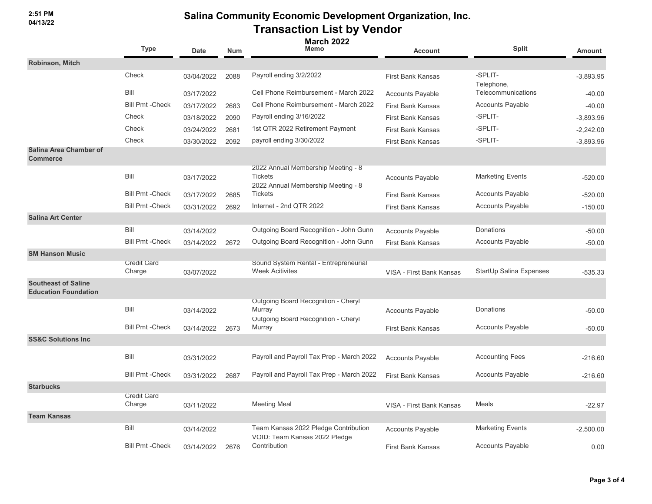**2:51 PM 04/13/22**

|                                                           | Type                         | <b>Date</b> | <b>Num</b> | <b>March 2022</b><br>Memo                                                                   | <b>Account</b>           | <b>Split</b>            | <b>Amount</b> |
|-----------------------------------------------------------|------------------------------|-------------|------------|---------------------------------------------------------------------------------------------|--------------------------|-------------------------|---------------|
| <b>Robinson, Mitch</b>                                    |                              |             |            |                                                                                             |                          |                         |               |
|                                                           | Check                        | 03/04/2022  | 2088       | Payroll ending 3/2/2022                                                                     | <b>First Bank Kansas</b> | -SPLIT-<br>Telephone,   | $-3,893.95$   |
|                                                           | Bill                         | 03/17/2022  |            | Cell Phone Reimbursement - March 2022                                                       | <b>Accounts Payable</b>  | Telecommunications      | $-40.00$      |
|                                                           | <b>Bill Pmt - Check</b>      | 03/17/2022  | 2683       | Cell Phone Reimbursement - March 2022                                                       | <b>First Bank Kansas</b> | <b>Accounts Payable</b> | $-40.00$      |
|                                                           | Check                        | 03/18/2022  | 2090       | Payroll ending 3/16/2022                                                                    | <b>First Bank Kansas</b> | -SPLIT-                 | $-3,893.96$   |
|                                                           | Check                        | 03/24/2022  | 2681       | 1st QTR 2022 Retirement Payment                                                             | <b>First Bank Kansas</b> | -SPLIT-                 | $-2,242.00$   |
|                                                           | Check                        | 03/30/2022  | 2092       | payroll ending 3/30/2022                                                                    | <b>First Bank Kansas</b> | -SPLIT-                 | $-3,893.96$   |
| Salina Area Chamber of<br><b>Commerce</b>                 |                              |             |            |                                                                                             |                          |                         |               |
|                                                           | Bill                         | 03/17/2022  |            | 2022 Annual Membership Meeting - 8<br><b>Tickets</b><br>2022 Annual Membership Meeting - 8  | <b>Accounts Payable</b>  | <b>Marketing Events</b> | $-520.00$     |
|                                                           | <b>Bill Pmt - Check</b>      | 03/17/2022  | 2685       | <b>Tickets</b>                                                                              | <b>First Bank Kansas</b> | <b>Accounts Payable</b> | $-520.00$     |
|                                                           | <b>Bill Pmt - Check</b>      | 03/31/2022  | 2692       | Internet - 2nd QTR 2022                                                                     | <b>First Bank Kansas</b> | <b>Accounts Payable</b> | $-150.00$     |
| <b>Salina Art Center</b>                                  |                              |             |            |                                                                                             |                          |                         |               |
|                                                           | Bill                         | 03/14/2022  |            | Outgoing Board Recognition - John Gunn                                                      | <b>Accounts Payable</b>  | Donations               | $-50.00$      |
|                                                           | <b>Bill Pmt - Check</b>      | 03/14/2022  | 2672       | Outgoing Board Recognition - John Gunn                                                      | <b>First Bank Kansas</b> | <b>Accounts Payable</b> | $-50.00$      |
| <b>SM Hanson Music</b>                                    |                              |             |            |                                                                                             |                          |                         |               |
|                                                           | <b>Credit Card</b><br>Charge | 03/07/2022  |            | Sound System Rental - Entrepreneurial<br><b>Week Acitivites</b>                             | VISA - First Bank Kansas | StartUp Salina Expenses | $-535.33$     |
| <b>Southeast of Saline</b><br><b>Education Foundation</b> |                              |             |            |                                                                                             |                          |                         |               |
|                                                           | Bill                         | 03/14/2022  |            | Outgoing Board Recognition - Cheryl<br>Murray<br><b>Outgoing Board Recognition - Cheryl</b> | <b>Accounts Payable</b>  | Donations               | $-50.00$      |
|                                                           | <b>Bill Pmt - Check</b>      | 03/14/2022  | 2673       | Murray                                                                                      | <b>First Bank Kansas</b> | <b>Accounts Payable</b> | $-50.00$      |
| <b>SS&amp;C Solutions Inc</b>                             |                              |             |            |                                                                                             |                          |                         |               |
|                                                           | Bill                         | 03/31/2022  |            | Payroll and Payroll Tax Prep - March 2022                                                   | <b>Accounts Payable</b>  | <b>Accounting Fees</b>  | $-216.60$     |
|                                                           | <b>Bill Pmt - Check</b>      | 03/31/2022  | 2687       | Payroll and Payroll Tax Prep - March 2022                                                   | <b>First Bank Kansas</b> | <b>Accounts Payable</b> | $-216.60$     |
| <b>Starbucks</b>                                          |                              |             |            |                                                                                             |                          |                         |               |
|                                                           | <b>Credit Card</b><br>Charge | 03/11/2022  |            | <b>Meeting Meal</b>                                                                         | VISA - First Bank Kansas | Meals                   | $-22.97$      |
| <b>Team Kansas</b>                                        |                              |             |            |                                                                                             |                          |                         |               |
|                                                           | Bill                         | 03/14/2022  |            | Team Kansas 2022 Pledge Contribution<br>VOID: Team Kansas 2022 Pledge                       | <b>Accounts Payable</b>  | <b>Marketing Events</b> | $-2,500.00$   |
|                                                           | <b>Bill Pmt - Check</b>      | 03/14/2022  | 2676       | Contribution                                                                                | <b>First Bank Kansas</b> | <b>Accounts Payable</b> | 0.00          |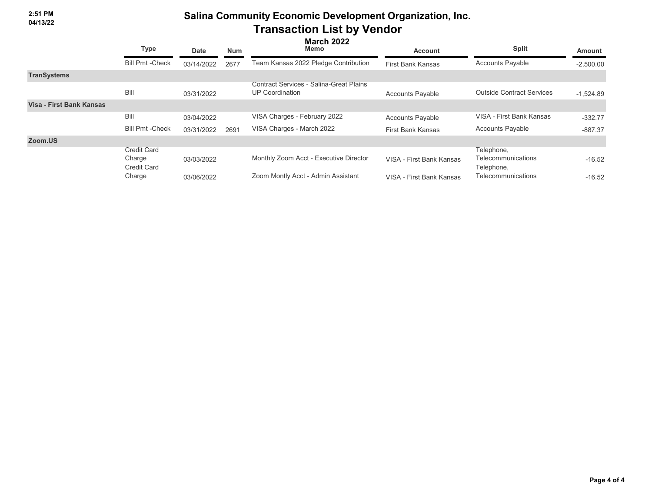|                          | <b>Type</b>                                        | <b>March 2022</b><br>Memo<br><b>Num</b><br>Date |      |                                                                          | <b>Account</b>           | <b>Split</b>                                          | <b>Amount</b> |  |
|--------------------------|----------------------------------------------------|-------------------------------------------------|------|--------------------------------------------------------------------------|--------------------------|-------------------------------------------------------|---------------|--|
|                          | <b>Bill Pmt - Check</b>                            | 03/14/2022                                      | 2677 | Team Kansas 2022 Pledge Contribution                                     | <b>First Bank Kansas</b> | <b>Accounts Payable</b>                               | $-2,500.00$   |  |
| <b>TranSystems</b>       |                                                    |                                                 |      |                                                                          |                          |                                                       |               |  |
|                          | Bill                                               | 03/31/2022                                      |      | <b>Contract Services - Salina-Great Plains</b><br><b>UP Coordination</b> | <b>Accounts Payable</b>  | <b>Outside Contract Services</b>                      | $-1,524.89$   |  |
| Visa - First Bank Kansas |                                                    |                                                 |      |                                                                          |                          |                                                       |               |  |
|                          | Bill                                               | 03/04/2022                                      |      | VISA Charges - February 2022                                             | <b>Accounts Payable</b>  | VISA - First Bank Kansas                              | $-332.77$     |  |
|                          | <b>Bill Pmt -Check</b>                             | 03/31/2022                                      | 2691 | VISA Charges - March 2022                                                | <b>First Bank Kansas</b> | <b>Accounts Payable</b>                               | $-887.37$     |  |
| Zoom.US                  |                                                    |                                                 |      |                                                                          |                          |                                                       |               |  |
|                          | <b>Credit Card</b><br>Charge<br><b>Credit Card</b> | 03/03/2022                                      |      | Monthly Zoom Acct - Executive Director                                   | VISA - First Bank Kansas | Telephone,<br><b>Telecommunications</b><br>Telephone, | $-16.52$      |  |
|                          | Charge                                             | 03/06/2022                                      |      | Zoom Montly Acct - Admin Assistant                                       | VISA - First Bank Kansas | Telecommunications                                    | $-16.52$      |  |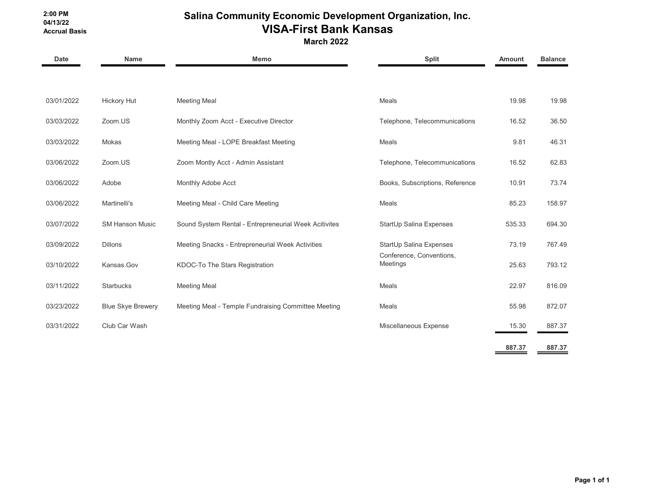#### **2:00 PM 04/13/22 Accrual Basis**

# **Salina Community Economic Development Organization, Inc. VISA-First Bank Kansas**

**March 2022**

| <b>Date</b> | <b>Name</b>              | Memo                                                  | <b>Split</b>                         | <b>Amount</b> | <b>Balance</b> |
|-------------|--------------------------|-------------------------------------------------------|--------------------------------------|---------------|----------------|
|             |                          |                                                       |                                      |               |                |
| 03/01/2022  | Hickory Hut              | <b>Meeting Meal</b>                                   | Meals                                | 19.98         | 19.98          |
| 03/03/2022  | Zoom.US                  | Monthly Zoom Acct - Executive Director                | Telephone, Telecommunications        | 16.52         | 36.50          |
| 03/03/2022  | Mokas                    | Meeting Meal - LOPE Breakfast Meeting                 | Meals                                | 9.81          | 46.31          |
| 03/06/2022  | Zoom.US                  | Zoom Montly Acct - Admin Assistant                    | Telephone, Telecommunications        | 16.52         | 62.83          |
| 03/06/2022  | Adobe                    | Monthly Adobe Acct                                    | Books, Subscriptions, Reference      | 10.91         | 73.74          |
| 03/06/2022  | Martinelli's             | Meeting Meal - Child Care Meeting                     | Meals                                | 85.23         | 158.97         |
| 03/07/2022  | <b>SM Hanson Music</b>   | Sound System Rental - Entrepreneurial Week Acitivites | StartUp Salina Expenses              | 535.33        | 694.30         |
| 03/09/2022  | <b>Dillons</b>           | Meeting Snacks - Entrepreneurial Week Activities      | StartUp Salina Expenses              | 73.19         | 767.49         |
| 03/10/2022  | Kansas.Gov               | KDOC-To The Stars Registration                        | Conference, Conventions,<br>Meetings | 25.63         | 793.12         |
| 03/11/2022  | <b>Starbucks</b>         | <b>Meeting Meal</b>                                   | Meals                                | 22.97         | 816.09         |
| 03/23/2022  | <b>Blue Skye Brewery</b> | Meeting Meal - Temple Fundraising Committee Meeting   | Meals                                | 55.98         | 872.07         |
| 03/31/2022  | Club Car Wash            |                                                       | Miscellaneous Expense                | 15.30         | 887.37         |
|             |                          |                                                       |                                      | 887.37        | 887.37         |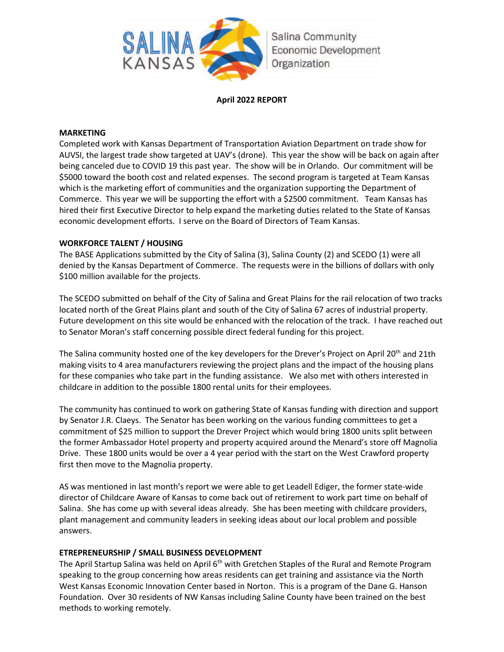

## **April 2022 REPORT**

## **MARKETING**

Completed work with Kansas Department of Transportation Aviation Department on trade show for AUVSI, the largest trade show targeted at UAV's (drone). This year the show will be back on again after being canceled due to COVID 19 this past year. The show will be in Orlando. Our commitment will be \$5000 toward the booth cost and related expenses. The second program is targeted at Team Kansas which is the marketing effort of communities and the organization supporting the Department of Commerce. This year we will be supporting the effort with a \$2500 commitment. Team Kansas has hired their first Executive Director to help expand the marketing duties related to the State of Kansas economic development efforts. I serve on the Board of Directors of Team Kansas.

## **WORKFORCE TALENT / HOUSING**

The BASE Applications submitted by the City of Salina (3), Salina County (2) and SCEDO (1) were all denied by the Kansas Department of Commerce. The requests were in the billions of dollars with only \$100 million available for the projects.

The SCEDO submitted on behalf of the City of Salina and Great Plains for the rail relocation of two tracks located north of the Great Plains plant and south of the City of Salina 67 acres of industrial property. Future development on this site would be enhanced with the relocation of the track. I have reached out to Senator Moran's staff concerning possible direct federal funding for this project.

The Salina community hosted one of the key developers for the Drever's Project on April 20<sup>th</sup> and 21th making visits to 4 area manufacturers reviewing the project plans and the impact of the housing plans for these companies who take part in the funding assistance. We also met with others interested in childcare in addition to the possible 1800 rental units for their employees.

The community has continued to work on gathering State of Kansas funding with direction and support by Senator J.R. Claeys. The Senator has been working on the various funding committees to get a commitment of \$25 million to support the Drever Project which would bring 1800 units split between the former Ambassador Hotel property and property acquired around the Menard's store off Magnolia Drive. These 1800 units would be over a 4 year period with the start on the West Crawford property first then move to the Magnolia property.

AS was mentioned in last month's report we were able to get Leadell Ediger, the former state-wide director of Childcare Aware of Kansas to come back out of retirement to work part time on behalf of Salina. She has come up with several ideas already. She has been meeting with childcare providers, plant management and community leaders in seeking ideas about our local problem and possible answers.

## **ETREPRENEURSHIP / SMALL BUSINESS DEVELOPMENT**

The April Startup Salina was held on April 6<sup>th</sup> with Gretchen Staples of the Rural and Remote Program speaking to the group concerning how areas residents can get training and assistance via the North West Kansas Economic Innovation Center based in Norton. This is a program of the Dane G. Hanson Foundation. Over 30 residents of NW Kansas including Saline County have been trained on the best methods to working remotely.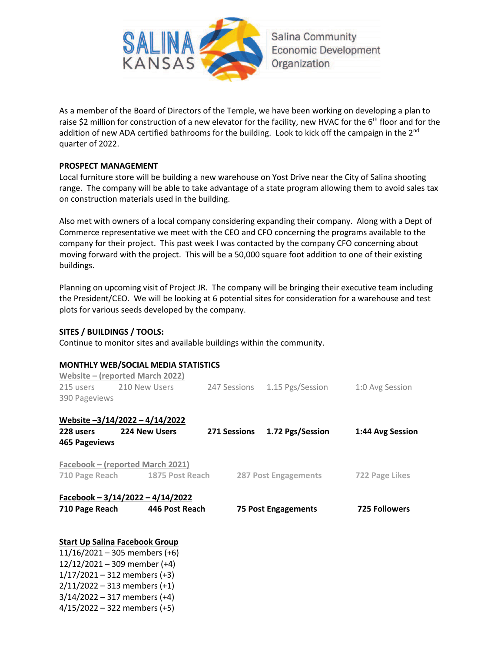

As a member of the Board of Directors of the Temple, we have been working on developing a plan to raise \$2 million for construction of a new elevator for the facility, new HVAC for the  $6<sup>th</sup>$  floor and for the addition of new ADA certified bathrooms for the building. Look to kick off the campaign in the 2<sup>nd</sup> quarter of 2022.

## **PROSPECT MANAGEMENT**

Local furniture store will be building a new warehouse on Yost Drive near the City of Salina shooting range. The company will be able to take advantage of a state program allowing them to avoid sales tax on construction materials used in the building.

Also met with owners of a local company considering expanding their company. Along with a Dept of Commerce representative we meet with the CEO and CFO concerning the programs available to the company for their project. This past week I was contacted by the company CFO concerning about moving forward with the project. This will be a 50,000 square foot addition to one of their existing buildings.

Planning on upcoming visit of Project JR. The company will be bringing their executive team including the President/CEO. We will be looking at 6 potential sites for consideration for a warehouse and test plots for various seeds developed by the company.

## **SITES / BUILDINGS / TOOLS:**

Continue to monitor sites and available buildings within the community.

## **MONTHLY WEB/SOCIAL MEDIA STATISTICS**

|                      | Website – (reported March 2022)                     |                               |                      |
|----------------------|-----------------------------------------------------|-------------------------------|----------------------|
|                      | 215 users 210 New Users                             | 247 Sessions 1.15 Pgs/Session | 1:0 Avg Session      |
| 390 Pageviews        |                                                     |                               |                      |
|                      | Website -3/14/2022 - 4/14/2022                      |                               |                      |
| 228 users            | <b>224 New Users</b>                                | 271 Sessions 1.72 Pgs/Session | 1:44 Avg Session     |
| <b>465 Pageviews</b> |                                                     |                               |                      |
|                      | Facebook – (reported March 2021)                    |                               |                      |
|                      | 710 Page Reach 1875 Post Reach 287 Post Engagements |                               | 722 Page Likes       |
|                      | Facebook - $3/14/2022 - 4/14/2022$                  |                               |                      |
|                      | 710 Page Reach 446 Post Reach                       | <b>75 Post Engagements</b>    | <b>725 Followers</b> |
|                      | <b>Start Up Salina Facebook Group</b>               |                               |                      |
|                      | $11/16/2021 - 305$ members (+6)                     |                               |                      |
|                      | $12/12/2021 - 309$ member (+4)                      |                               |                      |
|                      | $1/17/2021 - 312$ members (+3)                      |                               |                      |
|                      | $2/11/2022 - 313$ members (+1)                      |                               |                      |

3/14/2022 – 317 members (+4)

4/15/2022 – 322 members (+5)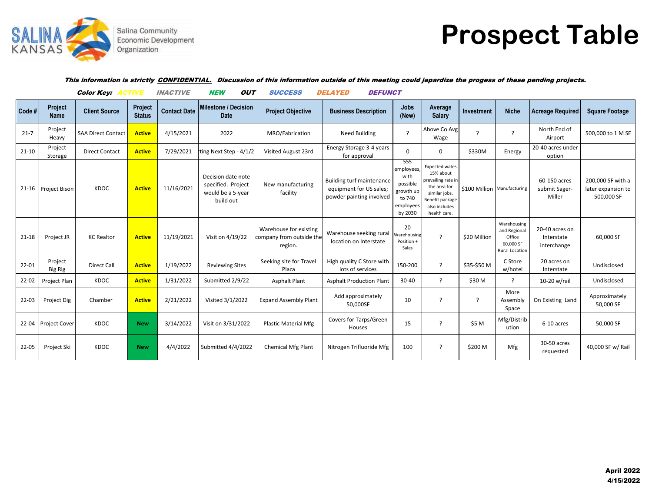

# **Prospect Table**

#### This information is strictly CONFIDENTIAL. Discussion of this information outside of this meeting could jepardize the progess of these pending projects.

|           |                           | <b>Color Key: ACTIVE</b>  |                          | <b>INACTIVE</b>     | <b>NEW</b><br>Ουτ                                                          | <b>SUCCESS</b>                                                | <i><b>DELAYED</b></i><br><b>DEFUNCT</b>                                                 |                                                                                      |                                                                                                                                               |                             |                                                                      |                                             |                                                       |
|-----------|---------------------------|---------------------------|--------------------------|---------------------|----------------------------------------------------------------------------|---------------------------------------------------------------|-----------------------------------------------------------------------------------------|--------------------------------------------------------------------------------------|-----------------------------------------------------------------------------------------------------------------------------------------------|-----------------------------|----------------------------------------------------------------------|---------------------------------------------|-------------------------------------------------------|
| Code #    | Project<br><b>Name</b>    | <b>Client Source</b>      | Project<br><b>Status</b> | <b>Contact Date</b> | <b>Milestone / Decision</b><br><b>Date</b>                                 | <b>Project Objective</b>                                      | <b>Business Description</b>                                                             | <b>Jobs</b><br>(New)                                                                 | Average<br><b>Salary</b>                                                                                                                      | <b>Investment</b>           | <b>Niche</b>                                                         | <b>Acreage Required</b>                     | <b>Square Footage</b>                                 |
| $21 - 7$  | Project<br>Heavy          | <b>SAA Direct Contact</b> | <b>Active</b>            | 4/15/2021           | 2022                                                                       | MRO/Fabrication                                               | <b>Need Building</b>                                                                    | $\overline{\phantom{a}}$                                                             | Above Co Avg<br>Wage                                                                                                                          | $\overline{\phantom{a}}$    | ?                                                                    | North End of<br>Airport                     | 500,000 to 1 M SF                                     |
| $21 - 10$ | Project<br>Storage        | <b>Direct Contact</b>     | <b>Active</b>            | 7/29/2021           | ting Next Step - 4/1/2                                                     | Visited August 23rd                                           | Energy Storage 3-4 years<br>for approval                                                | $\Omega$                                                                             | 0                                                                                                                                             | \$330M                      | Energy                                                               | 20-40 acres under<br>option                 |                                                       |
|           | 21-16 Project Bison       | KDOC                      | <b>Active</b>            | 11/16/2021          | Decision date note<br>specified. Project<br>would be a 5-year<br>build out | New manufacturing<br>facility                                 | <b>Building turf maintenance</b><br>equipment for US sales;<br>powder painting involved | 555<br>employees,<br>with<br>possible<br>growth up<br>to 740<br>employees<br>by 2030 | <b>Expected wates</b><br>15% about<br>prevailing rate in<br>the area for<br>similar jobs.<br>Benefit package<br>also includes<br>health care. | \$100 Million Manufacturing |                                                                      | 60-150 acres<br>submit Sager-<br>Miller     | 200,000 SF with a<br>later expansion to<br>500,000 SF |
| $21 - 18$ | Project JR                | <b>KC Realtor</b>         | <b>Active</b>            | 11/19/2021          | Visit on 4/19/22                                                           | Warehouse for existing<br>company from outside the<br>region. | Warehouse seeking rural<br>location on Interstate                                       | 20<br>Warehousing<br>Position +<br>Sales                                             | $\overline{\phantom{a}}$                                                                                                                      | \$20 Million                | Warehousing<br>and Regional<br>Office<br>60,000 SF<br>Rural Location | 20-40 acres on<br>Interstate<br>interchange | 60,000 SF                                             |
| 22-01     | Project<br><b>Big Rig</b> | Direct Call               | <b>Active</b>            | 1/19/2022           | <b>Reviewing Sites</b>                                                     | Seeking site for Travel<br>Plaza                              | High quality C Store with<br>lots of services                                           | 150-200                                                                              | $\overline{?}$                                                                                                                                | \$35-\$50 M                 | C Store<br>w/hotel                                                   | 20 acres on<br>Interstate                   | Undisclosed                                           |
| 22-02     | Project Plan              | KDOC                      | <b>Active</b>            | 1/31/2022           | Submitted 2/9/22                                                           | <b>Asphalt Plant</b>                                          | <b>Asphalt Production Plant</b>                                                         | 30-40                                                                                | $\overline{\phantom{a}}$                                                                                                                      | \$30 M                      | ?                                                                    | 10-20 w/rail                                | Undisclosed                                           |
| 22-03     | Project Dig               | Chamber                   | <b>Active</b>            | 2/21/2022           | Visited 3/1/2022                                                           | <b>Expand Assembly Plant</b>                                  | Add approximately<br>50,000SF                                                           | 10                                                                                   | $\overline{\phantom{a}}$                                                                                                                      | ?                           | More<br>Assembly<br>Space                                            | On Existing Land                            | Approximately<br>50,000 SF                            |
| 22-04     | <b>Project Cover</b>      | KDOC                      | <b>New</b>               | 3/14/2022           | Visit on 3/31/2022                                                         | <b>Plastic Material Mfg</b>                                   | Covers for Tarps/Green<br>Houses                                                        | 15                                                                                   | - 2                                                                                                                                           | \$5 M                       | Mfg/Distrib<br>ution                                                 | 6-10 acres                                  | 50,000 SF                                             |
| 22-05     | Project Ski               | KDOC                      | <b>New</b>               | 4/4/2022            | Submitted 4/4/2022                                                         | <b>Chemical Mfg Plant</b>                                     | Nitrogen Trifluoride Mfg                                                                | 100                                                                                  | - 2                                                                                                                                           | \$200 M                     | Mfg                                                                  | 30-50 acres<br>requested                    | 40,000 SF w/ Rail                                     |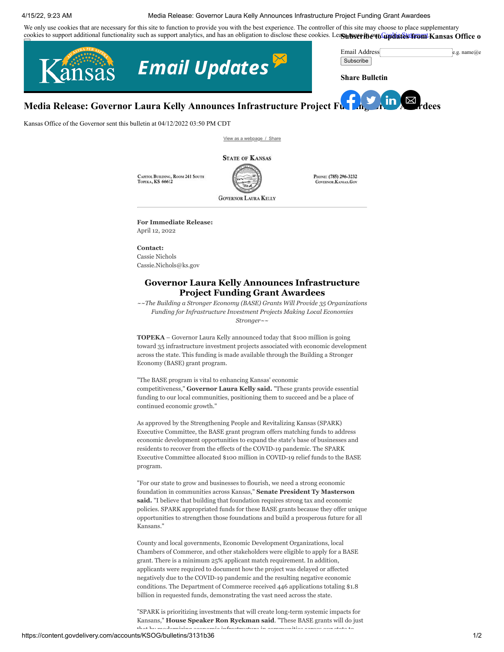#### 4/15/22, 9:23 AM Media Release: Governor Laura Kelly Announces Infrastructure Project Funding Grant Awardees

<span id="page-15-0"></span>We only use cookies that are necessary for this site to function to provide you with the best experience. The controller of this site may choose to place supplementary cookies to support additional functionality such as support analytics, and has an obligation to disclose these cookies. Lea**gu beer fident from the Kansas Office o** 



**Media Release: Governor Laura Kelly Announces Infrastructure Project F[undi](https://www.facebook.com/sharer.php?u=https://content.govdelivery.com/accounts/KSOG/bulletins/3131b36)[ng G](https://twitter.com/intent/tweet?url=https://content.govdelivery.com/accounts/KSOG/bulletins/3131b36%2F&text=Media%20Release:%20Governor%20Laura%20Kelly%20Announces%20Infrastructure%20Project%20Funding%20Grant%20Awardees)[rant](https://www.linkedin.com/shareArticle?mini=true&url=https://content.govdelivery.com/accounts/KSOG/bulletins/3131b36%2F&source=govDelivery) [Awar](mailto:?subject=Media%20Release:%20Governor%20Laura%20Kelly%20Announces%20Infrastructure%20Project%20Funding%20Grant%20Awardees&body=https://content.govdelivery.com/accounts/KSOG/bulletins/3131b36)dees**

Kansas Office of the Governor sent this bulletin at 04/12/2022 03:50 PM CDT

[View as a webpage / Share](https://content.govdelivery.com/accounts/KSOG/bulletins/3131b36)

**STATE OF KANSAS** 

CAPITOL BUILDING, ROOM 241 SOUTH **TOPEKA, KS 66612** 



PHONE: (785) 296-3232 **GOVERNOR, KANSAS, GOV** 

**For Immediate Release:**  April 12, 2022

**Contact:**  Cassie Nichols Cassie.Nichols@ks.gov

#### **Governor Laura Kelly Announces Infrastructure Project Funding Grant Awardees**

*~~The Building a Stronger Economy (BASE) Grants Will Provide 35 Organizations Funding for Infrastructure Investment Projects Making Local Economies Stronger~~*

**TOPEKA** – Governor Laura Kelly announced today that \$100 million is going toward 35 infrastructure investment projects associated with economic development across the state. This funding is made available through the Building a Stronger Economy (BASE) grant program.

"The BASE program is vital to enhancing Kansas' economic competitiveness," **Governor Laura Kelly said.** "These grants provide essential funding to our local communities, positioning them to succeed and be a place of continued economic growth."

As approved by the Strengthening People and Revitalizing Kansas (SPARK) Executive Committee, the BASE grant program offers matching funds to address economic development opportunities to expand the state's base of businesses and residents to recover from the effects of the COVID-19 pandemic. The SPARK Executive Committee allocated \$100 million in COVID-19 relief funds to the BASE program.

"For our state to grow and businesses to flourish, we need a strong economic foundation in communities across Kansas," **Senate President Ty Masterson said.** "I believe that building that foundation requires strong tax and economic policies. SPARK appropriated funds for these BASE grants because they offer unique opportunities to strengthen those foundations and build a prosperous future for all Kansans."

County and local governments, Economic Development Organizations, local Chambers of Commerce, and other stakeholders were eligible to apply for a BASE grant. There is a minimum 25% applicant match requirement. In addition, applicants were required to document how the project was delayed or affected negatively due to the COVID-19 pandemic and the resulting negative economic conditions. The Department of Commerce received 446 applications totaling \$1.8 billion in requested funds, demonstrating the vast need across the state.

"SPARK is prioritizing investments that will create long-term systemic impacts for Kansans," **House Speaker Ron Ryckman said**. "These BASE grants will do just that by modernizing economic infrastructure in community